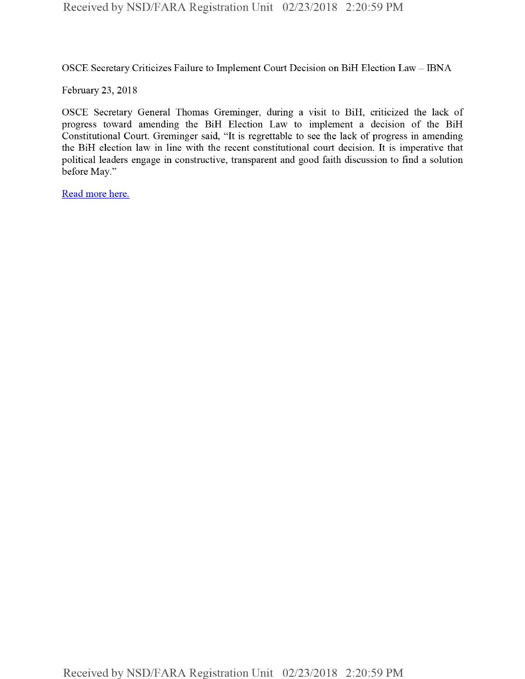OSCE Secretary Criticizes Failure to Implement Court Decision on BiH Election Law - IBNA

February 23, 2018

OSCE Secretary General Thomas Greminger, during a visit to BiH, criticized the lack of progress toward amending the BiH Election Law to implement a decision of the BiH Constitutional Court. Greminger said, "It is regrettable to see the lack of progress in amending the BiH election law in line with the recent constitutional court decision. It is imperative that political leaders engage in constructive, transparent and good faith discussion to find a solution before May."

Read more here.